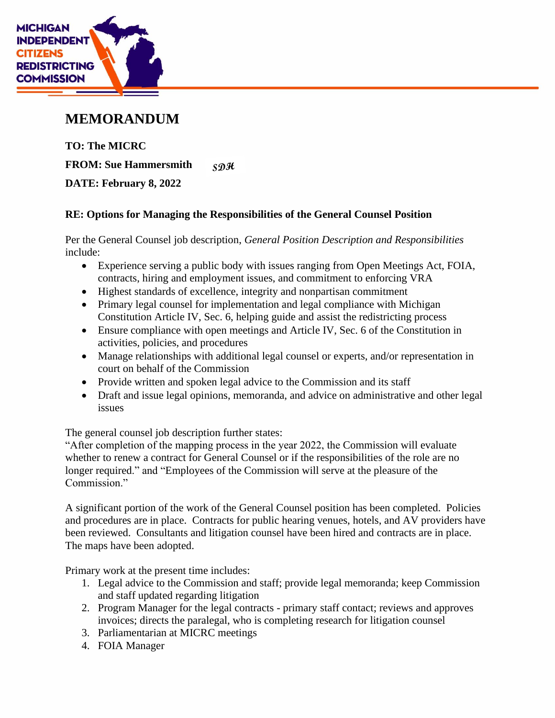

## **MEMORANDUM**

**TO: The MICRC FROM: Sue Hammersmith**  $S\mathfrak{D} \mathfrak{R}$ **DATE: February 8, 2022**

## **RE: Options for Managing the Responsibilities of the General Counsel Position**

Per the General Counsel job description, *General Position Description and Responsibilities*  include:

- Experience serving a public body with issues ranging from Open Meetings Act, FOIA, contracts, hiring and employment issues, and commitment to enforcing VRA
- Highest standards of excellence, integrity and nonpartisan commitment
- Primary legal counsel for implementation and legal compliance with Michigan Constitution Article IV, Sec. 6, helping guide and assist the redistricting process
- Ensure compliance with open meetings and Article IV, Sec. 6 of the Constitution in activities, policies, and procedures
- Manage relationships with additional legal counsel or experts, and/or representation in court on behalf of the Commission
- Provide written and spoken legal advice to the Commission and its staff
- Draft and issue legal opinions, memoranda, and advice on administrative and other legal issues

The general counsel job description further states:

"After completion of the mapping process in the year 2022, the Commission will evaluate whether to renew a contract for General Counsel or if the responsibilities of the role are no longer required." and "Employees of the Commission will serve at the pleasure of the Commission."

A significant portion of the work of the General Counsel position has been completed. Policies and procedures are in place. Contracts for public hearing venues, hotels, and AV providers have been reviewed. Consultants and litigation counsel have been hired and contracts are in place. The maps have been adopted.

Primary work at the present time includes:

- 1. Legal advice to the Commission and staff; provide legal memoranda; keep Commission and staff updated regarding litigation
- 2. Program Manager for the legal contracts primary staff contact; reviews and approves invoices; directs the paralegal, who is completing research for litigation counsel
- 3. Parliamentarian at MICRC meetings
- 4. FOIA Manager